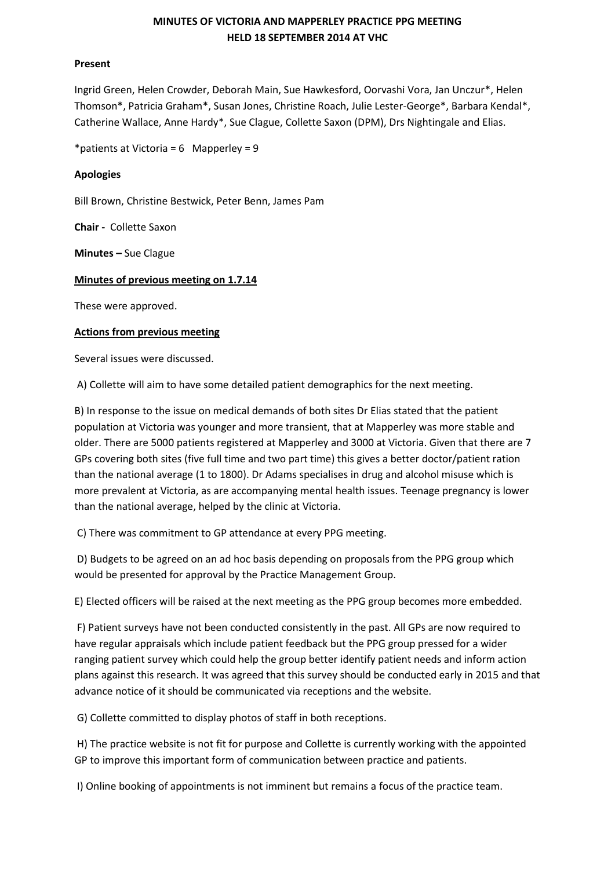# **MINUTES OF VICTORIA AND MAPPERLEY PRACTICE PPG MEETING HELD 18 SEPTEMBER 2014 AT VHC**

### **Present**

Ingrid Green, Helen Crowder, Deborah Main, Sue Hawkesford, Oorvashi Vora, Jan Unczur\*, Helen Thomson\*, Patricia Graham\*, Susan Jones, Christine Roach, Julie Lester-George\*, Barbara Kendal\*, Catherine Wallace, Anne Hardy\*, Sue Clague, Collette Saxon (DPM), Drs Nightingale and Elias.

\*patients at Victoria =  $6$  Mapperley = 9

## **Apologies**

Bill Brown, Christine Bestwick, Peter Benn, James Pam

**Chair -** Collette Saxon

**Minutes –** Sue Clague

## **Minutes of previous meeting on 1.7.14**

These were approved.

## **Actions from previous meeting**

Several issues were discussed.

A) Collette will aim to have some detailed patient demographics for the next meeting.

B) In response to the issue on medical demands of both sites Dr Elias stated that the patient population at Victoria was younger and more transient, that at Mapperley was more stable and older. There are 5000 patients registered at Mapperley and 3000 at Victoria. Given that there are 7 GPs covering both sites (five full time and two part time) this gives a better doctor/patient ration than the national average (1 to 1800). Dr Adams specialises in drug and alcohol misuse which is more prevalent at Victoria, as are accompanying mental health issues. Teenage pregnancy is lower than the national average, helped by the clinic at Victoria.

C) There was commitment to GP attendance at every PPG meeting.

D) Budgets to be agreed on an ad hoc basis depending on proposals from the PPG group which would be presented for approval by the Practice Management Group.

E) Elected officers will be raised at the next meeting as the PPG group becomes more embedded.

F) Patient surveys have not been conducted consistently in the past. All GPs are now required to have regular appraisals which include patient feedback but the PPG group pressed for a wider ranging patient survey which could help the group better identify patient needs and inform action plans against this research. It was agreed that this survey should be conducted early in 2015 and that advance notice of it should be communicated via receptions and the website.

G) Collette committed to display photos of staff in both receptions.

H) The practice website is not fit for purpose and Collette is currently working with the appointed GP to improve this important form of communication between practice and patients.

I) Online booking of appointments is not imminent but remains a focus of the practice team.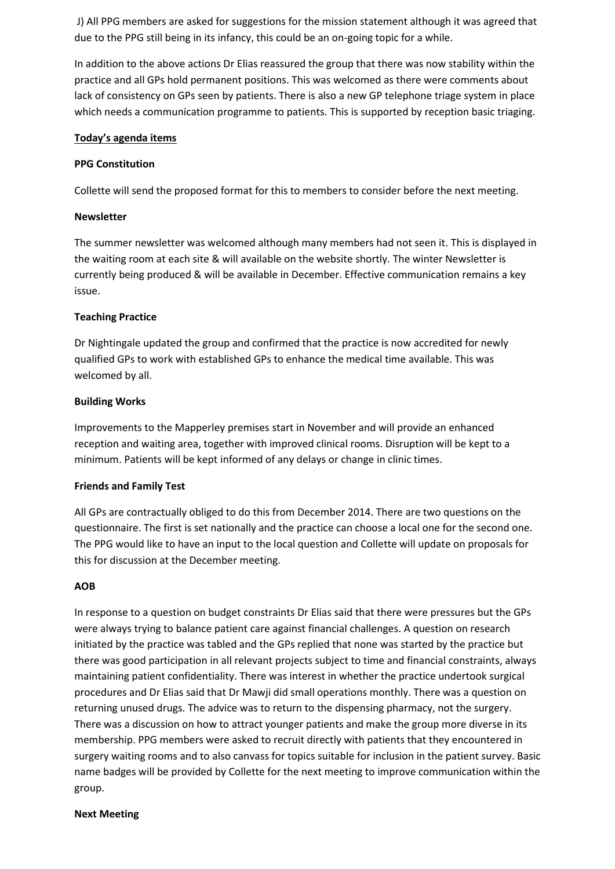J) All PPG members are asked for suggestions for the mission statement although it was agreed that due to the PPG still being in its infancy, this could be an on-going topic for a while.

In addition to the above actions Dr Elias reassured the group that there was now stability within the practice and all GPs hold permanent positions. This was welcomed as there were comments about lack of consistency on GPs seen by patients. There is also a new GP telephone triage system in place which needs a communication programme to patients. This is supported by reception basic triaging.

#### **Today's agenda items**

#### **PPG Constitution**

Collette will send the proposed format for this to members to consider before the next meeting.

#### **Newsletter**

The summer newsletter was welcomed although many members had not seen it. This is displayed in the waiting room at each site & will available on the website shortly. The winter Newsletter is currently being produced & will be available in December. Effective communication remains a key issue.

### **Teaching Practice**

Dr Nightingale updated the group and confirmed that the practice is now accredited for newly qualified GPs to work with established GPs to enhance the medical time available. This was welcomed by all.

#### **Building Works**

Improvements to the Mapperley premises start in November and will provide an enhanced reception and waiting area, together with improved clinical rooms. Disruption will be kept to a minimum. Patients will be kept informed of any delays or change in clinic times.

### **Friends and Family Test**

All GPs are contractually obliged to do this from December 2014. There are two questions on the questionnaire. The first is set nationally and the practice can choose a local one for the second one. The PPG would like to have an input to the local question and Collette will update on proposals for this for discussion at the December meeting.

#### **AOB**

In response to a question on budget constraints Dr Elias said that there were pressures but the GPs were always trying to balance patient care against financial challenges. A question on research initiated by the practice was tabled and the GPs replied that none was started by the practice but there was good participation in all relevant projects subject to time and financial constraints, always maintaining patient confidentiality. There was interest in whether the practice undertook surgical procedures and Dr Elias said that Dr Mawji did small operations monthly. There was a question on returning unused drugs. The advice was to return to the dispensing pharmacy, not the surgery. There was a discussion on how to attract younger patients and make the group more diverse in its membership. PPG members were asked to recruit directly with patients that they encountered in surgery waiting rooms and to also canvass for topics suitable for inclusion in the patient survey. Basic name badges will be provided by Collette for the next meeting to improve communication within the group.

#### **Next Meeting**